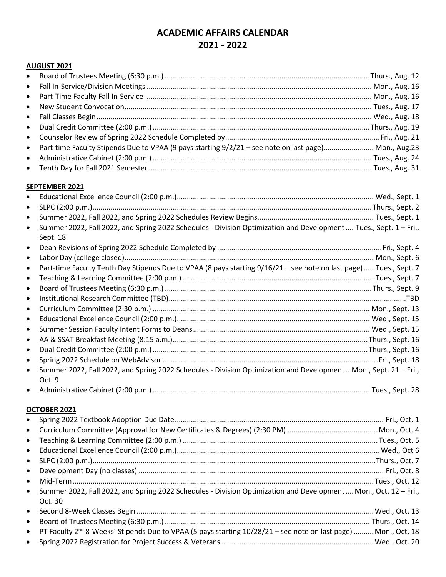# **ACADEMIC AFFAIRS CALENDAR 2021 - 2022**

### **AUGUST 2021**

| • Part-time Faculty Stipends Due to VPAA (9 pays starting 9/2/21 - see note on last page) Mon., Aug.23 |  |
|--------------------------------------------------------------------------------------------------------|--|
|                                                                                                        |  |
|                                                                                                        |  |

#### **SEPTEMBER 2021**

| $\bullet$                                                                                                                                  |  |
|--------------------------------------------------------------------------------------------------------------------------------------------|--|
| $\bullet$                                                                                                                                  |  |
| $\bullet$                                                                                                                                  |  |
| Summer 2022, Fall 2022, and Spring 2022 Schedules - Division Optimization and Development  Tues., Sept. 1 - Fri.,<br>$\bullet$<br>Sept. 18 |  |
| $\bullet$                                                                                                                                  |  |
| $\bullet$                                                                                                                                  |  |
| Part-time Faculty Tenth Day Stipends Due to VPAA (8 pays starting 9/16/21 - see note on last page)  Tues., Sept. 7<br>$\bullet$            |  |
| $\bullet$                                                                                                                                  |  |
| $\bullet$                                                                                                                                  |  |
| $\bullet$                                                                                                                                  |  |
| $\bullet$                                                                                                                                  |  |
| $\bullet$                                                                                                                                  |  |
| $\bullet$                                                                                                                                  |  |
| $\bullet$                                                                                                                                  |  |
| $\bullet$                                                                                                                                  |  |
| $\bullet$                                                                                                                                  |  |
| Summer 2022, Fall 2022, and Spring 2022 Schedules - Division Optimization and Development Mon., Sept. 21 - Fri.,<br>$\bullet$<br>Oct. 9    |  |
| $\bullet$                                                                                                                                  |  |
| OCTOBER 2021                                                                                                                               |  |
| $\bullet$                                                                                                                                  |  |
| $\bullet$                                                                                                                                  |  |
| $\bullet$                                                                                                                                  |  |
| $\bullet$                                                                                                                                  |  |
| $\bullet$                                                                                                                                  |  |

| • Summer 2022, Fall 2022, and Spring 2022 Schedules - Division Optimization and Development  Mon., Oct. 12 – Fri., |
|--------------------------------------------------------------------------------------------------------------------|
| Oct. $30$                                                                                                          |
|                                                                                                                    |

| • PT Faculty 2 <sup>nd</sup> 8-Weeks' Stipends Due to VPAA (5 pays starting 10/28/21 - see note on last page)  Mon., Oct. 18 |
|------------------------------------------------------------------------------------------------------------------------------|
|                                                                                                                              |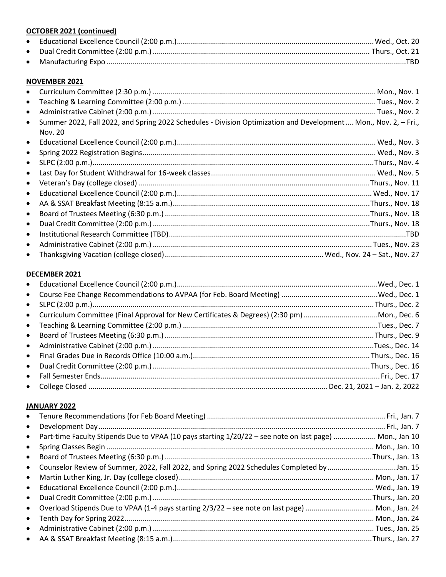## **OCTOBER 2021 (continued)**

## **NOVEMBER 2021**

| $\bullet$ |                                                                                                                  |  |
|-----------|------------------------------------------------------------------------------------------------------------------|--|
| $\bullet$ |                                                                                                                  |  |
| $\bullet$ |                                                                                                                  |  |
| $\bullet$ | Summer 2022, Fall 2022, and Spring 2022 Schedules - Division Optimization and Development  Mon., Nov. 2, - Fri., |  |
|           | Nov. 20                                                                                                          |  |
| $\bullet$ |                                                                                                                  |  |
| $\bullet$ |                                                                                                                  |  |
| $\bullet$ |                                                                                                                  |  |
| $\bullet$ |                                                                                                                  |  |
| $\bullet$ |                                                                                                                  |  |
| $\bullet$ |                                                                                                                  |  |
| $\bullet$ |                                                                                                                  |  |
| $\bullet$ |                                                                                                                  |  |
| $\bullet$ |                                                                                                                  |  |
| $\bullet$ |                                                                                                                  |  |
| $\bullet$ |                                                                                                                  |  |
| $\bullet$ |                                                                                                                  |  |

## DECEMBER 2021

| $\bullet$ |  |
|-----------|--|
|           |  |
|           |  |
| $\bullet$ |  |
|           |  |
| $\bullet$ |  |
|           |  |
|           |  |
|           |  |

### JANUARY 2022

| $\bullet$ |                                                                                                         |  |
|-----------|---------------------------------------------------------------------------------------------------------|--|
| $\bullet$ |                                                                                                         |  |
| $\bullet$ | Part-time Faculty Stipends Due to VPAA (10 pays starting 1/20/22 - see note on last page)  Mon., Jan 10 |  |
| $\bullet$ |                                                                                                         |  |
| $\bullet$ |                                                                                                         |  |
| $\bullet$ | Counselor Review of Summer, 2022, Fall 2022, and Spring 2022 Schedules Completed by Jan. 15             |  |
| $\bullet$ |                                                                                                         |  |
| $\bullet$ |                                                                                                         |  |
| $\bullet$ |                                                                                                         |  |
| $\bullet$ | Overload Stipends Due to VPAA (1-4 pays starting 2/3/22 - see note on last page)  Mon., Jan. 24         |  |
| $\bullet$ |                                                                                                         |  |
| $\bullet$ |                                                                                                         |  |
| $\bullet$ |                                                                                                         |  |
|           |                                                                                                         |  |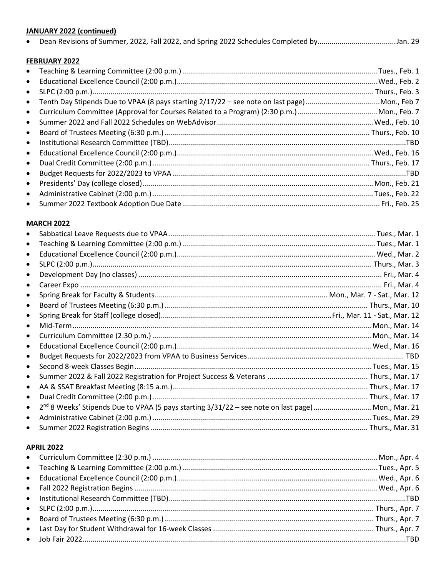## **JANUARY 2022 (continued)**

|  | Dean Revisions of Summer, 2022, Fall 2022, and Spring 2022 Schedules Completed byJan. 29 |  |  |
|--|------------------------------------------------------------------------------------------|--|--|
|--|------------------------------------------------------------------------------------------|--|--|

## FEBRUARY 2022

| $\bullet$ |  |
|-----------|--|
| $\bullet$ |  |
| $\bullet$ |  |
| $\bullet$ |  |
| $\bullet$ |  |
| $\bullet$ |  |
| $\bullet$ |  |
| $\bullet$ |  |
| $\bullet$ |  |
| $\bullet$ |  |
| $\bullet$ |  |
| $\bullet$ |  |
| $\bullet$ |  |
| $\bullet$ |  |

#### **MARCH 2022**

| $\bullet$ | Teaching & Learning Committee (2:00 p.m.) ………………………………………………………………………………………Tues., Mar. 1                       |  |
|-----------|----------------------------------------------------------------------------------------------------------------|--|
| $\bullet$ |                                                                                                                |  |
| $\bullet$ |                                                                                                                |  |
| $\bullet$ |                                                                                                                |  |
| $\bullet$ |                                                                                                                |  |
| $\bullet$ |                                                                                                                |  |
| $\bullet$ |                                                                                                                |  |
| $\bullet$ |                                                                                                                |  |
| $\bullet$ |                                                                                                                |  |
|           |                                                                                                                |  |
| $\bullet$ |                                                                                                                |  |
| $\bullet$ |                                                                                                                |  |
| $\bullet$ |                                                                                                                |  |
| $\bullet$ |                                                                                                                |  |
| $\bullet$ |                                                                                                                |  |
| $\bullet$ |                                                                                                                |  |
| $\bullet$ | 2 <sup>nd</sup> 8 Weeks' Stipends Due to VPAA (5 pays starting 3/31/22 - see note on last page)  Mon., Mar. 21 |  |
| $\bullet$ |                                                                                                                |  |
|           |                                                                                                                |  |

## **APRIL 2022**